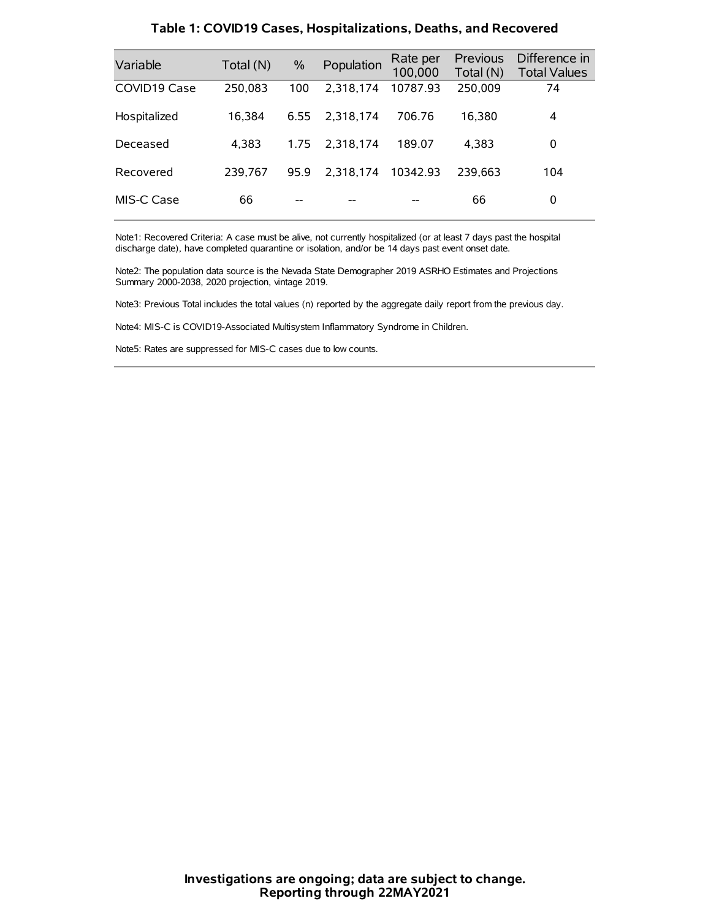| Variable     | Total (N) | $\frac{0}{0}$ | Population | Rate per<br>100,000 | Previous<br>Total (N) | Difference in<br><b>Total Values</b> |
|--------------|-----------|---------------|------------|---------------------|-----------------------|--------------------------------------|
| COVID19 Case | 250.083   | 100           | 2.318.174  | 10787.93            | 250,009               | 74                                   |
| Hospitalized | 16.384    | 6.55          | 2.318.174  | 706.76              | 16.380                | 4                                    |
| Deceased     | 4.383     | 1.75          | 2.318.174  | 189.07              | 4.383                 | 0                                    |
| Recovered    | 239.767   | 95.9          | 2,318,174  | 10342.93            | 239.663               | 104                                  |
| MIS-C Case   | 66        | --            |            |                     | 66                    | 0                                    |

#### **Table 1: COVID19 Cases, Hospitalizations, Deaths, and Recovered**

Note1: Recovered Criteria: A case must be alive, not currently hospitalized (or at least 7 days past the hospital discharge date), have completed quarantine or isolation, and/or be 14 days past event onset date.

Note2: The population data source is the Nevada State Demographer 2019 ASRHO Estimates and Projections Summary 2000-2038, 2020 projection, vintage 2019.

Note3: Previous Total includes the total values (n) reported by the aggregate daily report from the previous day.

Note4: MIS-C is COVID19-Associated Multisystem Inflammatory Syndrome in Children.

Note5: Rates are suppressed for MIS-C cases due to low counts.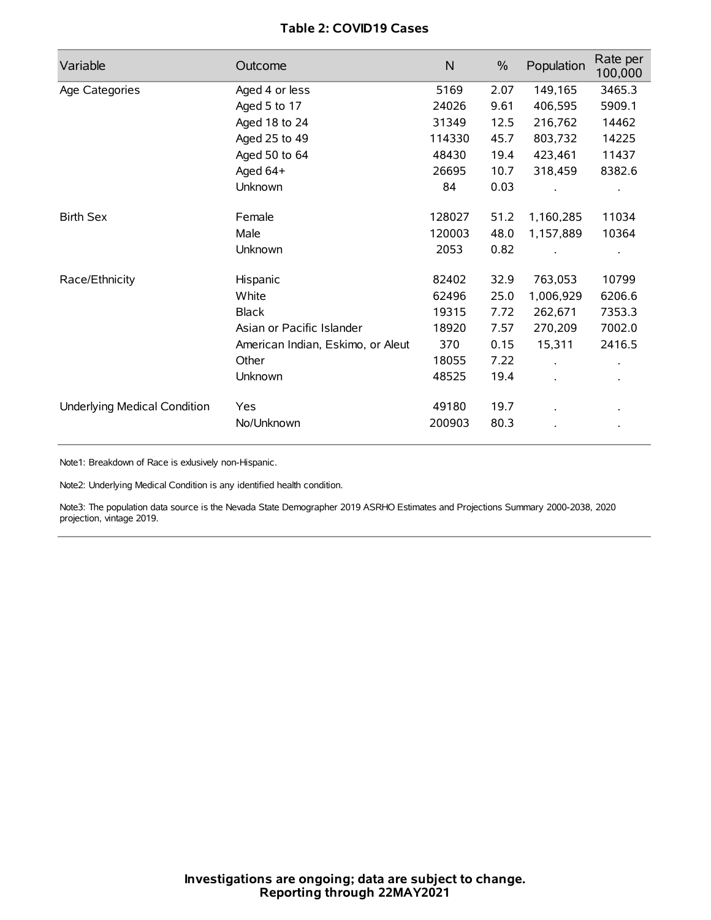## **Table 2: COVID19 Cases**

| Variable                     | Outcome                           | $\mathsf{N}$ | $\%$ | Population | Rate per<br>100,000 |
|------------------------------|-----------------------------------|--------------|------|------------|---------------------|
| Age Categories               | Aged 4 or less                    | 5169         | 2.07 | 149,165    | 3465.3              |
|                              | Aged 5 to 17                      | 24026        | 9.61 | 406,595    | 5909.1              |
|                              | Aged 18 to 24                     | 31349        | 12.5 | 216,762    | 14462               |
|                              | Aged 25 to 49                     | 114330       | 45.7 | 803,732    | 14225               |
|                              | Aged 50 to 64                     | 48430        | 19.4 | 423,461    | 11437               |
|                              | Aged 64+                          | 26695        | 10.7 | 318,459    | 8382.6              |
|                              | Unknown                           | 84           | 0.03 |            |                     |
| <b>Birth Sex</b>             | Female                            | 128027       | 51.2 | 1,160,285  | 11034               |
|                              | Male                              | 120003       | 48.0 | 1,157,889  | 10364               |
|                              | Unknown                           | 2053         | 0.82 |            |                     |
| Race/Ethnicity               | Hispanic                          | 82402        | 32.9 | 763,053    | 10799               |
|                              | White                             | 62496        | 25.0 | 1,006,929  | 6206.6              |
|                              | <b>Black</b>                      | 19315        | 7.72 | 262,671    | 7353.3              |
|                              | Asian or Pacific Islander         | 18920        | 7.57 | 270,209    | 7002.0              |
|                              | American Indian, Eskimo, or Aleut | 370          | 0.15 | 15,311     | 2416.5              |
|                              | Other                             | 18055        | 7.22 |            |                     |
|                              | <b>Unknown</b>                    | 48525        | 19.4 | $\cdot$    |                     |
| Underlying Medical Condition | Yes                               | 49180        | 19.7 |            |                     |
|                              | No/Unknown                        | 200903       | 80.3 |            |                     |

Note1: Breakdown of Race is exlusively non-Hispanic.

Note2: Underlying Medical Condition is any identified health condition.

Note3: The population data source is the Nevada State Demographer 2019 ASRHO Estimates and Projections Summary 2000-2038, 2020 projection, vintage 2019.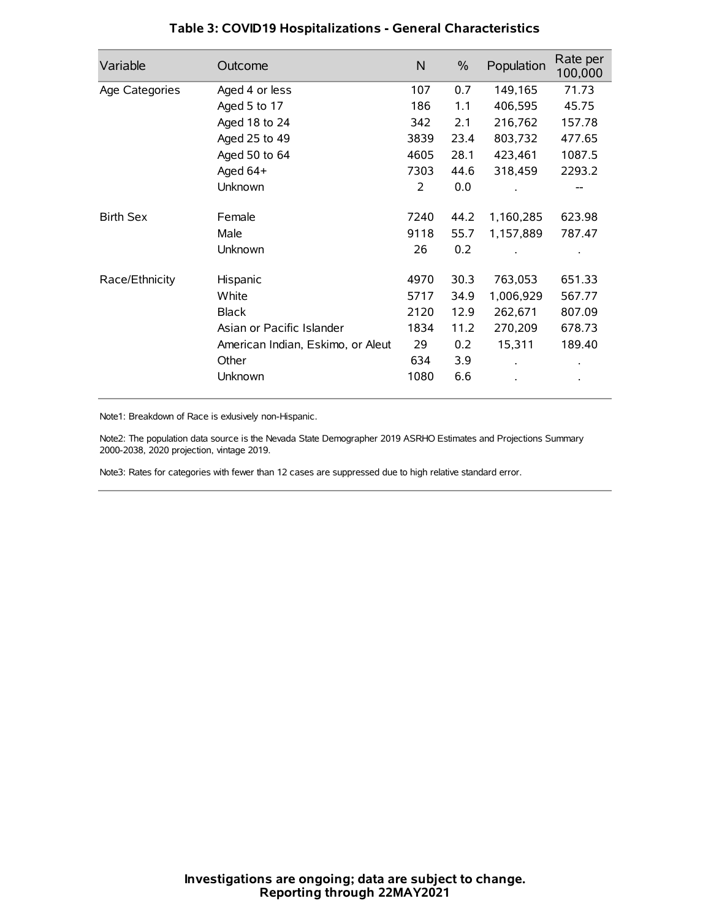| Variable         | Outcome                           | N    | $\%$ | Population | Rate per<br>100,000 |
|------------------|-----------------------------------|------|------|------------|---------------------|
| Age Categories   | Aged 4 or less                    | 107  | 0.7  | 149,165    | 71.73               |
|                  | Aged 5 to 17                      | 186  | 1.1  | 406,595    | 45.75               |
|                  | Aged 18 to 24                     | 342  | 2.1  | 216,762    | 157.78              |
|                  | Aged 25 to 49                     | 3839 | 23.4 | 803,732    | 477.65              |
|                  | Aged 50 to 64                     | 4605 | 28.1 | 423,461    | 1087.5              |
|                  | Aged 64+                          | 7303 | 44.6 | 318,459    | 2293.2              |
|                  | Unknown                           | 2    | 0.0  |            | --                  |
| <b>Birth Sex</b> | Female                            | 7240 | 44.2 | 1,160,285  | 623.98              |
|                  | Male                              | 9118 | 55.7 | 1,157,889  | 787.47              |
|                  | Unknown                           | 26   | 0.2  |            |                     |
| Race/Ethnicity   | Hispanic                          | 4970 | 30.3 | 763,053    | 651.33              |
|                  | White                             | 5717 | 34.9 | 1,006,929  | 567.77              |
|                  | <b>Black</b>                      | 2120 | 12.9 | 262,671    | 807.09              |
|                  | Asian or Pacific Islander         | 1834 | 11.2 | 270,209    | 678.73              |
|                  | American Indian, Eskimo, or Aleut | 29   | 0.2  | 15,311     | 189.40              |
|                  | Other                             | 634  | 3.9  |            |                     |
|                  | Unknown                           | 1080 | 6.6  |            |                     |

## **Table 3: COVID19 Hospitalizations - General Characteristics**

Note1: Breakdown of Race is exlusively non-Hispanic.

Note2: The population data source is the Nevada State Demographer 2019 ASRHO Estimates and Projections Summary 2000-2038, 2020 projection, vintage 2019.

Note3: Rates for categories with fewer than 12 cases are suppressed due to high relative standard error.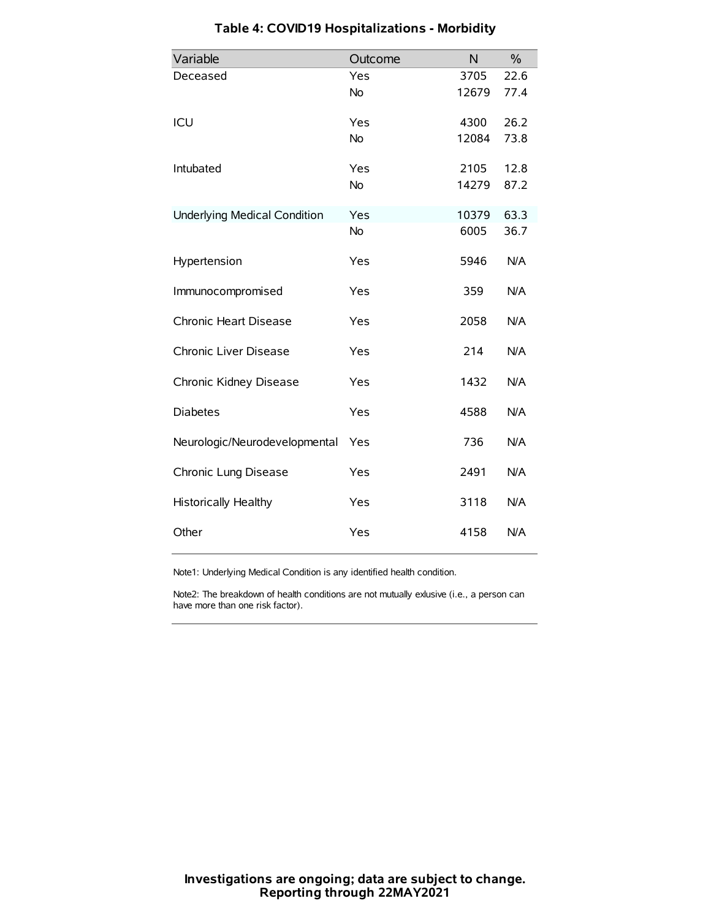| Variable                            | Outcome   | N     | $\frac{0}{0}$ |
|-------------------------------------|-----------|-------|---------------|
| Deceased                            | Yes       | 3705  | 22.6          |
|                                     | <b>No</b> | 12679 | 77.4          |
| ICU                                 | Yes       | 4300  | 26.2          |
|                                     | <b>No</b> | 12084 | 73.8          |
| Intubated                           | Yes       | 2105  | 12.8          |
|                                     | <b>No</b> | 14279 | 87.2          |
| <b>Underlying Medical Condition</b> | Yes       | 10379 | 63.3          |
|                                     | No        | 6005  | 36.7          |
| Hypertension                        | Yes       | 5946  | N/A           |
| Immunocompromised                   | Yes       | 359   | N/A           |
| Chronic Heart Disease               | Yes       | 2058  | N/A           |
| Chronic Liver Disease               | Yes       | 214   | N/A           |
| Chronic Kidney Disease              | Yes       | 1432  | N/A           |
| <b>Diabetes</b>                     | Yes       | 4588  | N/A           |
| Neurologic/Neurodevelopmental       | Yes       | 736   | N/A           |
| Chronic Lung Disease                | Yes       | 2491  | N/A           |
| <b>Historically Healthy</b>         | Yes       | 3118  | N/A           |
| Other                               | Yes       | 4158  | N/A           |

# **Table 4: COVID19 Hospitalizations - Morbidity**

Note1: Underlying Medical Condition is any identified health condition.

Note2: The breakdown of health conditions are not mutually exlusive (i.e., a person can have more than one risk factor).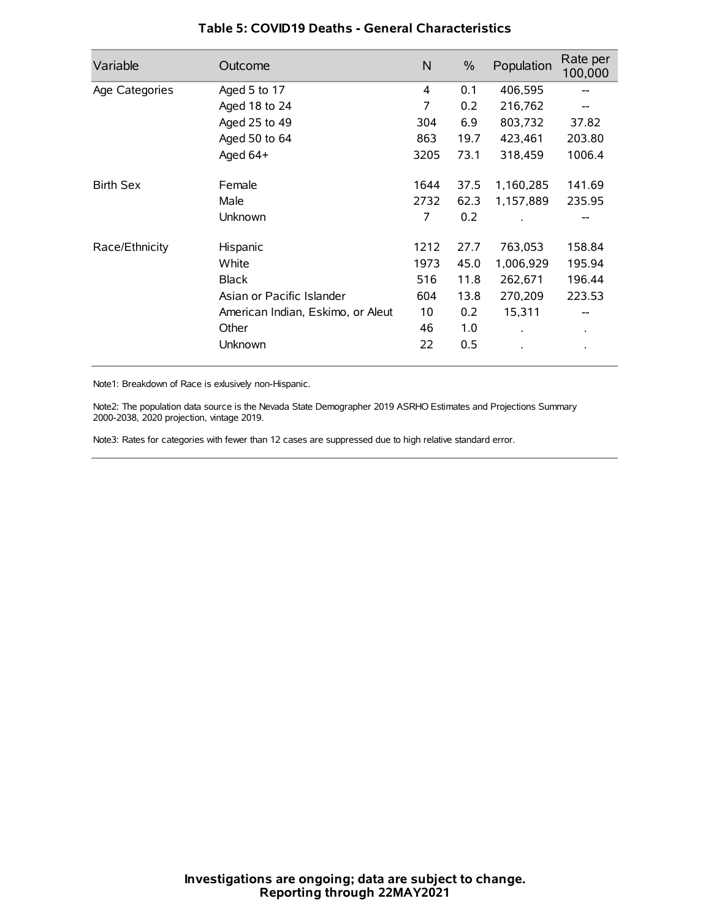| Variable         | Outcome                           | $\mathsf{N}$ | $\%$ | Population           | Rate per<br>100,000 |
|------------------|-----------------------------------|--------------|------|----------------------|---------------------|
| Age Categories   | Aged 5 to 17                      | 4            | 0.1  | 406,595              |                     |
|                  | Aged 18 to 24                     | 7            | 0.2  | 216,762              |                     |
|                  | Aged 25 to 49                     | 304          | 6.9  | 803,732              | 37.82               |
|                  | Aged 50 to 64                     | 863          | 19.7 | 423,461              | 203.80              |
|                  | Aged 64+                          | 3205         | 73.1 | 318,459              | 1006.4              |
| <b>Birth Sex</b> | Female                            | 1644         | 37.5 | 1,160,285            | 141.69              |
|                  | Male                              | 2732         | 62.3 | 1,157,889            | 235.95              |
|                  | Unknown                           | 7            | 0.2  |                      |                     |
| Race/Ethnicity   | Hispanic                          | 1212         | 27.7 | 763,053              | 158.84              |
|                  | White                             | 1973         | 45.0 | 1,006,929            | 195.94              |
|                  | <b>Black</b>                      | 516          | 11.8 | 262,671              | 196.44              |
|                  | Asian or Pacific Islander         | 604          | 13.8 | 270,209              | 223.53              |
|                  | American Indian, Eskimo, or Aleut | 10           | 0.2  | 15,311               |                     |
|                  | Other                             | 46           | 1.0  | $\ddot{\phantom{0}}$ | $\bullet$           |
|                  | Unknown                           | 22           | 0.5  |                      |                     |

## **Table 5: COVID19 Deaths - General Characteristics**

Note1: Breakdown of Race is exlusively non-Hispanic.

Note2: The population data source is the Nevada State Demographer 2019 ASRHO Estimates and Projections Summary 2000-2038, 2020 projection, vintage 2019.

Note3: Rates for categories with fewer than 12 cases are suppressed due to high relative standard error.